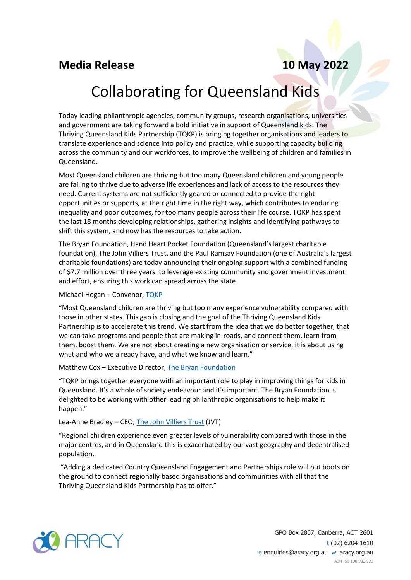## **Media Release 10 May 2022**

# Collaborating for Queensland Kids

Today leading philanthropic agencies, community groups, research organisations, universities and government are taking forward a bold initiative in support of Queensland kids. The Thriving Queensland Kids Partnership (TQKP) is bringing together organisations and leaders to translate experience and science into policy and practice, while supporting capacity building across the community and our workforces, to improve the wellbeing of children and families in Queensland.

Most Queensland children are thriving but too many Queensland children and young people are failing to thrive due to adverse life experiences and lack of access to the resources they need. Current systems are not sufficiently geared or connected to provide the right opportunities or supports, at the right time in the right way, which contributes to enduring inequality and poor outcomes, for too many people across their life course. TQKP has spent the last 18 months developing relationships, gathering insights and identifying pathways to shift this system, and now has the resources to take action.

The Bryan Foundation, Hand Heart Pocket Foundation (Queensland's largest charitable foundation), The John Villiers Trust, and the Paul Ramsay Foundation (one of Australia's largest charitable foundations) are today announcing their ongoing support with a combined funding of \$7.7 million over three years, to leverage existing community and government investment and effort, ensuring this work can spread across the state.

### Michael Hogan – Convenor, [TQKP](https://www.aracy.org.au/the-nest-in-action/thriving-queensland-kids-partnership-tqkp)

"Most Queensland children are thriving but too many experience vulnerability compared with those in other states. This gap is closing and the goal of the Thriving Queensland Kids Partnership is to accelerate this trend. We start from the idea that we do better together, that we can take programs and people that are making in-roads, and connect them, learn from them, boost them. We are not about creating a new organisation or service, it is about using what and who we already have, and what we know and learn."

#### Matthew Cox – Executive Director[, The Bryan Foundation](https://www.thebryanfoundation.org.au/)

"TQKP brings together everyone with an important role to play in improving things for kids in Queensland. It's a whole of society endeavour and it's important. The Bryan Foundation is delighted to be working with other leading philanthropic organisations to help make it happen."

#### Lea-Anne Bradley – CEO, [The John Villiers Trust](https://jvtrust.org.au/) (JVT)

"Regional children experience even greater levels of vulnerability compared with those in the major centres, and in Queensland this is exacerbated by our vast geography and decentralised population.

"Adding a dedicated Country Queensland Engagement and Partnerships role will put boots on the ground to connect regionally based organisations and communities with all that the Thriving Queensland Kids Partnership has to offer."